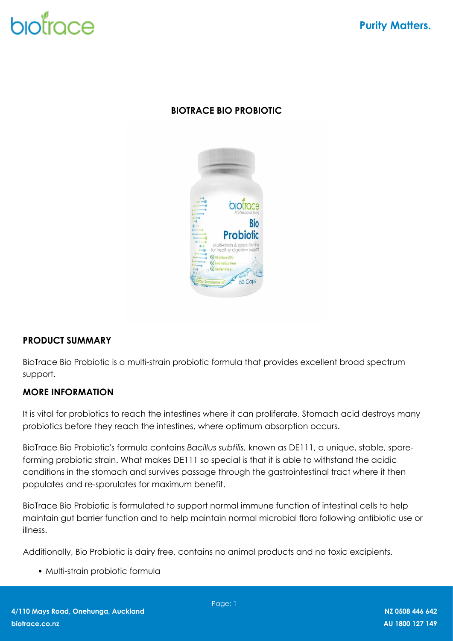# biotrace

# **BIOTRACE BIO PROBIOTIC**



## **PRODUCT SUMMARY**

BioTrace Bio Probiotic is a multi-strain probiotic formula that provides excellent broad spectrum support.

## **MORE INFORMATION**

It is vital for probiotics to reach the intestines where it can proliferate. Stomach acid destroys many probiotics before they reach the intestines, where optimum absorption occurs.

BioTrace Bio Probiotic's formula contains *Bacillus subtilis,* known as DE111, a unique, stable, sporeforming probiotic strain. What makes DE111 so special is that it is able to withstand the acidic conditions in the stomach and survives passage through the gastrointestinal tract where it then populates and re-sporulates for maximum benefit.

BioTrace Bio Probiotic is formulated to support normal immune function of intestinal cells to help maintain gut barrier function and to help maintain normal microbial flora following antibiotic use or illness.

Additionally, Bio Probiotic is dairy free, contains no animal products and no toxic excipients.

Multi-strain probiotic formula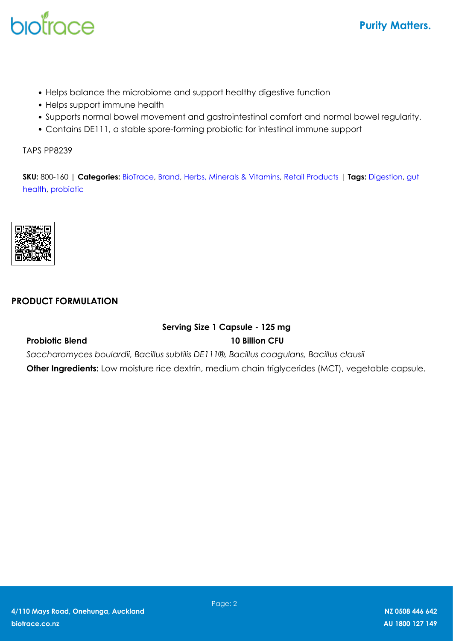# biotrace

- Helps balance the microbiome and support healthy digestive function
- Helps support immune health
- Supports normal bowel movement and gastrointestinal comfort and normal bowel regularity.
- Contains DE111, a stable spore-forming probiotic for intestinal immune support

TAPS PP8239

**SKU:** 800-160 | **Categories:** [BioTrace](https://biotrace.co.nz/product-category/brand/biotrace/), [Brand](https://biotrace.co.nz/product-category/brand/), [Herbs, Minerals & Vitamins,](https://biotrace.co.nz/product-category/brand/biotrace/herbs-minerals-vitamins/) [Retail Products](https://biotrace.co.nz/product-category/retail-products/) | **Tags:** [Digestion](https://biotrace.co.nz/product-tag/digestion/), [gut](https://biotrace.co.nz/product-tag/gut-health/) [health,](https://biotrace.co.nz/product-tag/gut-health/) [probiotic](https://biotrace.co.nz/product-tag/probiotic/)



#### **PRODUCT FORMULATION**

### **Serving Size 1 Capsule - 125 mg Probiotic Blend 10 Billion CFU**

*Saccharomyces boulardii, Bacillus subtilis DE111®, Bacillus coagulans, Bacillus clausii*

**Other Ingredients:** Low moisture rice dextrin, medium chain triglycerides (MCT), vegetable capsule.